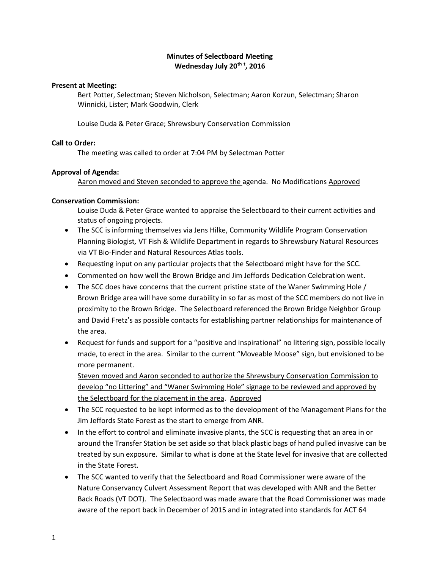# **Minutes of Selectboard Meeting Wednesday July 20th <sup>t</sup> , 2016**

## **Present at Meeting:**

Bert Potter, Selectman; Steven Nicholson, Selectman; Aaron Korzun, Selectman; Sharon Winnicki, Lister; Mark Goodwin, Clerk

Louise Duda & Peter Grace; Shrewsbury Conservation Commission

## **Call to Order:**

The meeting was called to order at 7:04 PM by Selectman Potter

# **Approval of Agenda:**

Aaron moved and Steven seconded to approve the agenda. No Modifications Approved

# **Conservation Commission:**

Louise Duda & Peter Grace wanted to appraise the Selectboard to their current activities and status of ongoing projects.

- The SCC is informing themselves via Jens Hilke, Community Wildlife Program Conservation Planning Biologist*,* VT Fish & Wildlife Department in regards to Shrewsbury Natural Resources via VT Bio-Finder and Natural Resources Atlas tools.
- Requesting input on any particular projects that the Selectboard might have for the SCC.
- Commented on how well the Brown Bridge and Jim Jeffords Dedication Celebration went.
- The SCC does have concerns that the current pristine state of the Waner Swimming Hole / Brown Bridge area will have some durability in so far as most of the SCC members do not live in proximity to the Brown Bridge. The Selectboard referenced the Brown Bridge Neighbor Group and David Fretz's as possible contacts for establishing partner relationships for maintenance of the area.
- Request for funds and support for a "positive and inspirational" no littering sign, possible locally made, to erect in the area. Similar to the current "Moveable Moose" sign, but envisioned to be more permanent.

Steven moved and Aaron seconded to authorize the Shrewsbury Conservation Commission to develop "no Littering" and "Waner Swimming Hole" signage to be reviewed and approved by the Selectboard for the placement in the area. Approved

- The SCC requested to be kept informed as to the development of the Management Plans for the Jim Jeffords State Forest as the start to emerge from ANR.
- In the effort to control and eliminate invasive plants, the SCC is requesting that an area in or around the Transfer Station be set aside so that black plastic bags of hand pulled invasive can be treated by sun exposure. Similar to what is done at the State level for invasive that are collected in the State Forest.
- The SCC wanted to verify that the Selectboard and Road Commissioner were aware of the Nature Conservancy Culvert Assessment Report that was developed with ANR and the Better Back Roads (VT DOT). The Selectbaord was made aware that the Road Commissioner was made aware of the report back in December of 2015 and in integrated into standards for ACT 64